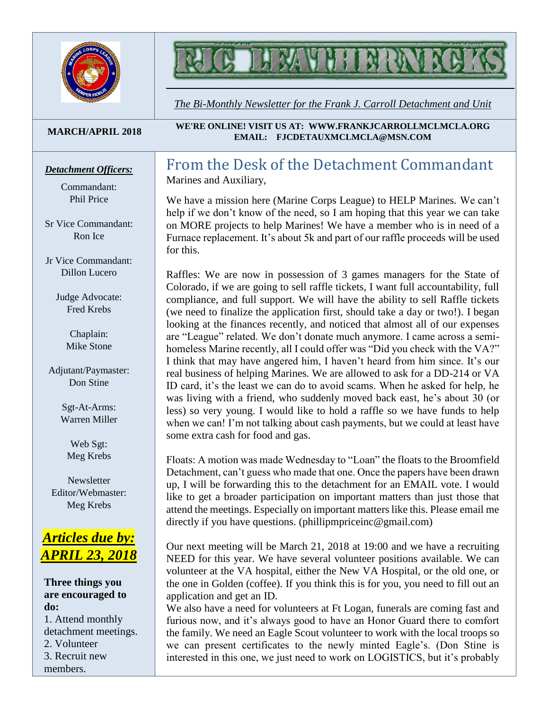

# MYHTNN

*The Bi-Monthly Newsletter for the Frank J. Carroll Detachment and Unit*

#### **MARCH/APRIL 2018**

#### *Detachment Officers:*

Commandant: Phil Price

Sr Vice Commandant: Ron Ice

Jr Vice Commandant: Dillon Lucero

> Judge Advocate: Fred Krebs

> > Chaplain: Mike Stone

Adjutant/Paymaster: Don Stine

> Sgt-At-Arms: Warren Miller

Web Sgt: Meg Krebs

**Newsletter** Editor/Webmaster: Meg Krebs

## *Articles due by: APRIL 23, 2018*

**Three things you are encouraged to do:** 1. Attend monthly detachment meetings. 2. Volunteer 3. Recruit new members.

**WE'RE ONLINE! VISIT US AT: WWW.FRANKJCARROLLMCLMCLA.ORG EMAIL: FJCDETAUXMCLMCLA@MSN.COM**

#### From the Desk of the Detachment Commandant Marines and Auxiliary,

We have a mission here (Marine Corps League) to HELP Marines. We can't help if we don't know of the need, so I am hoping that this year we can take on MORE projects to help Marines! We have a member who is in need of a Furnace replacement. It's about 5k and part of our raffle proceeds will be used for this.

Raffles: We are now in possession of 3 games managers for the State of Colorado, if we are going to sell raffle tickets, I want full accountability, full compliance, and full support. We will have the ability to sell Raffle tickets (we need to finalize the application first, should take a day or two!). I began looking at the finances recently, and noticed that almost all of our expenses are "League" related. We don't donate much anymore. I came across a semihomeless Marine recently, all I could offer was "Did you check with the VA?" I think that may have angered him, I haven't heard from him since. It's our real business of helping Marines. We are allowed to ask for a DD-214 or VA ID card, it's the least we can do to avoid scams. When he asked for help, he was living with a friend, who suddenly moved back east, he's about 30 (or less) so very young. I would like to hold a raffle so we have funds to help when we can! I'm not talking about cash payments, but we could at least have some extra cash for food and gas.

Floats: A motion was made Wednesday to "Loan" the floats to the Broomfield Detachment, can't guess who made that one. Once the papers have been drawn up, I will be forwarding this to the detachment for an EMAIL vote. I would like to get a broader participation on important matters than just those that attend the meetings. Especially on important matters like this. Please email me directly if you have questions. (phillipmpriceinc@gmail.com)

Our next meeting will be March 21, 2018 at 19:00 and we have a recruiting NEED for this year. We have several volunteer positions available. We can volunteer at the VA hospital, either the New VA Hospital, or the old one, or the one in Golden (coffee). If you think this is for you, you need to fill out an application and get an ID.

We also have a need for volunteers at Ft Logan, funerals are coming fast and furious now, and it's always good to have an Honor Guard there to comfort the family. We need an Eagle Scout volunteer to work with the local troops so we can present certificates to the newly minted Eagle's. (Don Stine is interested in this one, we just need to work on LOGISTICS, but it's probably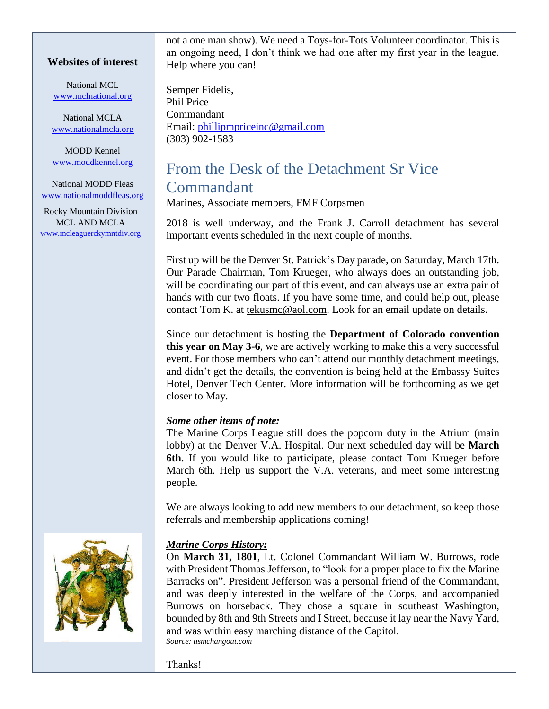#### **Websites of interest**

National MCL [www.mclnational.org](http://www.mclnational.org/)

National MCLA [www.nationalmcla.org](http://www.nationalmcla.org/)

MODD Kennel [www.moddkennel.org](http://www.moddkennel.org/)

National MODD Fleas [www.nationalmoddfleas.org](http://www.nationalmoddfleas.org/)

Rocky Mountain Division MCL AND MCLA [www.mcleaguerckymntdiv.org](http://www.mcleaguerckymntdiv.org/) not a one man show). We need a Toys-for-Tots Volunteer coordinator. This is an ongoing need, I don't think we had one after my first year in the league. Help where you can!

Semper Fidelis, Phil Price Commandant Email: [phillipmpriceinc@gmail.com](mailto:phillipmpriceinc@gmail.com) (303) 902-1583

# From the Desk of the Detachment Sr Vice Commandant

Marines, Associate members, FMF Corpsmen

2018 is well underway, and the Frank J. Carroll detachment has several important events scheduled in the next couple of months.

First up will be the Denver St. Patrick's Day parade, on Saturday, March 17th. Our Parade Chairman, Tom Krueger, who always does an outstanding job, will be coordinating our part of this event, and can always use an extra pair of hands with our two floats. If you have some time, and could help out, please contact Tom K. at [tekusmc@aol.com.](mailto:tekusmc@aol.com) Look for an email update on details.

Since our detachment is hosting the **Department of Colorado convention this year on May 3-6**, we are actively working to make this a very successful event. For those members who can't attend our monthly detachment meetings, and didn't get the details, the convention is being held at the Embassy Suites Hotel, Denver Tech Center. More information will be forthcoming as we get closer to May.

#### *Some other items of note:*

The Marine Corps League still does the popcorn duty in the Atrium (main lobby) at the Denver V.A. Hospital. Our next scheduled day will be **March 6th**. If you would like to participate, please contact Tom Krueger before March 6th. Help us support the V.A. veterans, and meet some interesting people.

We are always looking to add new members to our detachment, so keep those referrals and membership applications coming!

#### *Marine Corps History:*

On **March 31, 1801**, Lt. Colonel Commandant William W. Burrows, rode with President Thomas Jefferson, to "look for a proper place to fix the Marine Barracks on". President Jefferson was a personal friend of the Commandant, and was deeply interested in the welfare of the Corps, and accompanied Burrows on horseback. They chose a square in southeast Washington, bounded by 8th and 9th Streets and I Street, because it lay near the Navy Yard, and was within easy marching distance of the Capitol. *Source: usmchangout.com*



Thanks!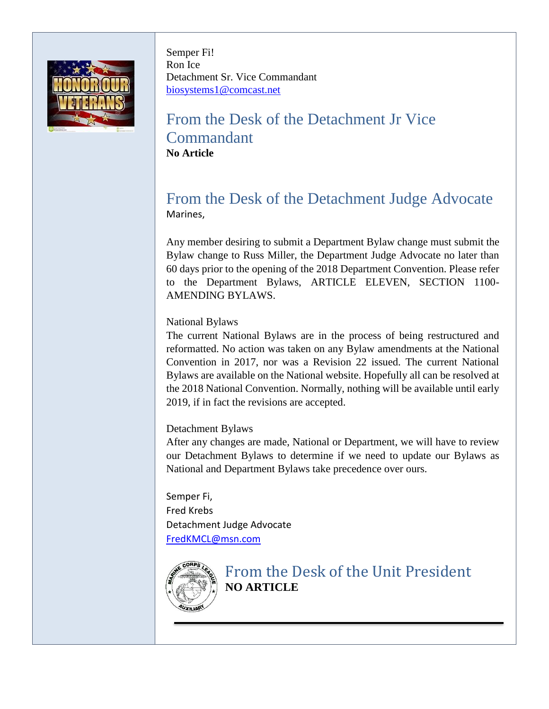

Semper Fi! Ron Ice Detachment Sr. Vice Commandant [biosystems1@comcast.net](mailto:biosystems1@comcast.net)

# From the Desk of the Detachment Jr Vice Commandant **No Article**

## From the Desk of the Detachment Judge Advocate Marines,

Any member desiring to submit a Department Bylaw change must submit the Bylaw change to Russ Miller, the Department Judge Advocate no later than 60 days prior to the opening of the 2018 Department Convention. Please refer to the Department Bylaws, ARTICLE ELEVEN, SECTION 1100- AMENDING BYLAWS.

#### National Bylaws

The current National Bylaws are in the process of being restructured and reformatted. No action was taken on any Bylaw amendments at the National Convention in 2017, nor was a Revision 22 issued. The current National Bylaws are available on the National website. Hopefully all can be resolved at the 2018 National Convention. Normally, nothing will be available until early 2019, if in fact the revisions are accepted.

#### Detachment Bylaws

After any changes are made, National or Department, we will have to review our Detachment Bylaws to determine if we need to update our Bylaws as National and Department Bylaws take precedence over ours.

Semper Fi, Fred Krebs Detachment Judge Advocate [FredKMCL@msn.com](mailto:FredKMCL@msn.com)



From the Desk of the Unit President **NO ARTICLE**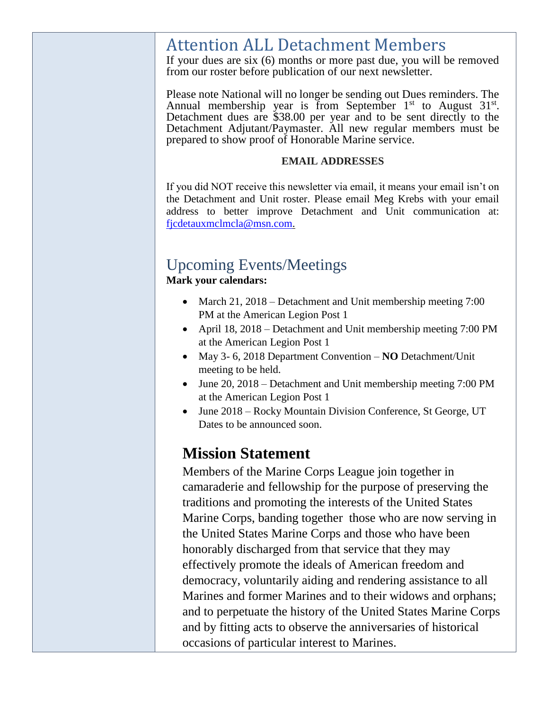# Attention ALL Detachment Members

If your dues are six (6) months or more past due, you will be removed from our roster before publication of our next newsletter.

Please note National will no longer be sending out Dues reminders. The Annual membership year is from September  $1<sup>st</sup>$  to August  $31<sup>st</sup>$ . Detachment dues are \$38.00 per year and to be sent directly to the Detachment Adjutant/Paymaster. All new regular members must be prepared to show proof of Honorable Marine service.

#### **EMAIL ADDRESSES**

If you did NOT receive this newsletter via email, it means your email isn't on the Detachment and Unit roster. Please email Meg Krebs with your email address to better improve Detachment and Unit communication at: [fjcdetauxmclmcla@msn.com.](mailto:fjcdetauxmclmcla@msn.com)

# Upcoming Events/Meetings

**Mark your calendars:**

- March 21, 2018 Detachment and Unit membership meeting 7:00 PM at the American Legion Post 1
- April 18, 2018 Detachment and Unit membership meeting 7:00 PM at the American Legion Post 1
- May 3- 6, 2018 Department Convention **NO** Detachment/Unit meeting to be held.
- June 20, 2018 Detachment and Unit membership meeting 7:00 PM at the American Legion Post 1
- June 2018 Rocky Mountain Division Conference, St George, UT Dates to be announced soon.

# **Mission Statement**

Members of the Marine Corps League join together in camaraderie and fellowship for the purpose of preserving the traditions and promoting the interests of the United States Marine Corps, banding together those who are now serving in the United States Marine Corps and those who have been honorably discharged from that service that they may effectively promote the ideals of American freedom and democracy, voluntarily aiding and rendering assistance to all Marines and former Marines and to their widows and orphans; and to perpetuate the history of the United States Marine Corps and by fitting acts to observe the anniversaries of historical occasions of particular interest to Marines.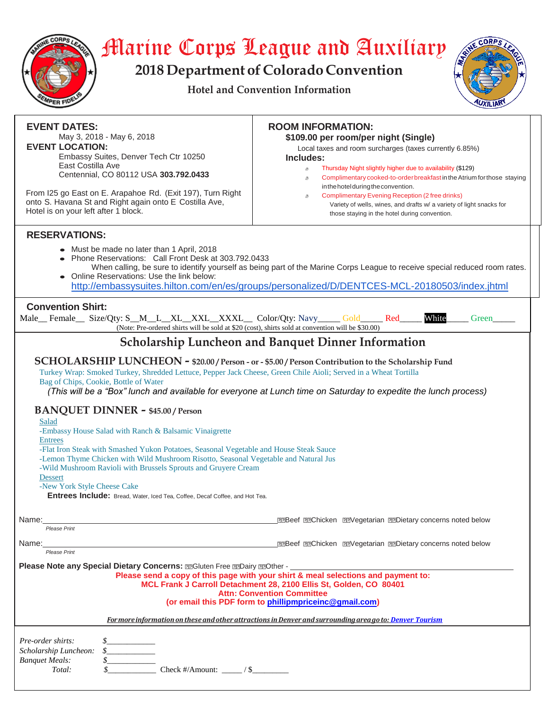

# Marine Corps League and Auxiliary

**2018 Department of Colorado Convention**

**Hotel and Convention Information**



| <b>EVENT DATES:</b><br>May 3, 2018 - May 6, 2018<br><b>EVENT LOCATION:</b><br>Embassy Suites, Denver Tech Ctr 10250<br>East Costilla Ave<br>Centennial, CO 80112 USA 303.792.0433<br>From I25 go East on E. Arapahoe Rd. (Exit 197), Turn Right<br>onto S. Havana St and Right again onto E Costilla Ave,<br>Hotel is on your left after 1 block.                                                                                                                                                                                                                                                                                                                                                                                                                                                                                                                                               | <b>ROOM INFORMATION:</b><br>\$109.00 per room/per night (Single)<br>Local taxes and room surcharges (taxes currently 6.85%)<br>Includes:<br>Thursday Night slightly higher due to availability (\$129)<br>s.<br>Complimentary cooked-to-order breakfast in the Atrium for those staying<br>æ.<br>in the hotel during the convention.<br><b>Complimentary Evening Reception (2 free drinks)</b><br>ð<br>Variety of wells, wines, and drafts w/ a variety of light snacks for<br>those staying in the hotel during convention. |  |
|-------------------------------------------------------------------------------------------------------------------------------------------------------------------------------------------------------------------------------------------------------------------------------------------------------------------------------------------------------------------------------------------------------------------------------------------------------------------------------------------------------------------------------------------------------------------------------------------------------------------------------------------------------------------------------------------------------------------------------------------------------------------------------------------------------------------------------------------------------------------------------------------------|------------------------------------------------------------------------------------------------------------------------------------------------------------------------------------------------------------------------------------------------------------------------------------------------------------------------------------------------------------------------------------------------------------------------------------------------------------------------------------------------------------------------------|--|
| <b>RESERVATIONS:</b>                                                                                                                                                                                                                                                                                                                                                                                                                                                                                                                                                                                                                                                                                                                                                                                                                                                                            |                                                                                                                                                                                                                                                                                                                                                                                                                                                                                                                              |  |
| • Must be made no later than 1 April, 2018<br>Phone Reservations: Call Front Desk at 303.792.0433<br>When calling, be sure to identify yourself as being part of the Marine Corps League to receive special reduced room rates.<br>Online Reservations: Use the link below:<br>http://embassysuites.hilton.com/en/es/groups/personalized/D/DENTCES-MCL-20180503/index.jhtml                                                                                                                                                                                                                                                                                                                                                                                                                                                                                                                     |                                                                                                                                                                                                                                                                                                                                                                                                                                                                                                                              |  |
| <b>Convention Shirt:</b><br>White<br>Male_Female_Size/Qty: S_M_L_XL_XXL_XXXL_Color/Qty: Navy___Gold____Red___<br>Green<br>(Note: Pre-ordered shirts will be sold at \$20 (cost), shirts sold at convention will be \$30.00)                                                                                                                                                                                                                                                                                                                                                                                                                                                                                                                                                                                                                                                                     |                                                                                                                                                                                                                                                                                                                                                                                                                                                                                                                              |  |
| <b>Scholarship Luncheon and Banquet Dinner Information</b>                                                                                                                                                                                                                                                                                                                                                                                                                                                                                                                                                                                                                                                                                                                                                                                                                                      |                                                                                                                                                                                                                                                                                                                                                                                                                                                                                                                              |  |
| SCHOLARSHIP LUNCHEON - \$20.00 / Person - or - \$5.00 / Person Contribution to the Scholarship Fund<br>Turkey Wrap: Smoked Turkey, Shredded Lettuce, Pepper Jack Cheese, Green Chile Aioli; Served in a Wheat Tortilla<br>Bag of Chips, Cookie, Bottle of Water<br>(This will be a "Box" lunch and available for everyone at Lunch time on Saturday to expedite the lunch process)<br><b>BANQUET DINNER - \$45.00 / Person</b><br>Salad<br>-Embassy House Salad with Ranch & Balsamic Vinaigrette<br><b>Entrees</b><br>-Flat Iron Steak with Smashed Yukon Potatoes, Seasonal Vegetable and House Steak Sauce<br>-Lemon Thyme Chicken with Wild Mushroom Risotto, Seasonal Vegetable and Natural Jus<br>-Wild Mushroom Ravioli with Brussels Sprouts and Gruyere Cream<br>Dessert<br>-New York Style Cheese Cake<br>Entrees Include: Bread, Water, Iced Tea, Coffee, Decaf Coffee, and Hot Tea. |                                                                                                                                                                                                                                                                                                                                                                                                                                                                                                                              |  |
| <b>ZZBeef ZZChicken ZZVegetarian ZZDietary concerns noted below</b>                                                                                                                                                                                                                                                                                                                                                                                                                                                                                                                                                                                                                                                                                                                                                                                                                             |                                                                                                                                                                                                                                                                                                                                                                                                                                                                                                                              |  |
| Name:<br>Please Print                                                                                                                                                                                                                                                                                                                                                                                                                                                                                                                                                                                                                                                                                                                                                                                                                                                                           |                                                                                                                                                                                                                                                                                                                                                                                                                                                                                                                              |  |
| Name:<br>Please Print                                                                                                                                                                                                                                                                                                                                                                                                                                                                                                                                                                                                                                                                                                                                                                                                                                                                           | <b>22Beef 22Chicken 22Vegetarian 22Dietary concerns noted below</b>                                                                                                                                                                                                                                                                                                                                                                                                                                                          |  |
| <b>Please Note any Special Dietary Concerns: [22Gluten Free [22Dairy 229Other - ______________________</b><br>Please send a copy of this page with your shirt & meal selections and payment to:<br>MCL Frank J Carroll Detachment 28, 2100 Ellis St, Golden, CO 80401<br><b>Attn: Convention Committee</b><br>(or email this PDF form to phillipmpriceinc@gmail.com)                                                                                                                                                                                                                                                                                                                                                                                                                                                                                                                            |                                                                                                                                                                                                                                                                                                                                                                                                                                                                                                                              |  |
| For more information on these and other attractions in Denver and surrounding area go to: Denver Tourism                                                                                                                                                                                                                                                                                                                                                                                                                                                                                                                                                                                                                                                                                                                                                                                        |                                                                                                                                                                                                                                                                                                                                                                                                                                                                                                                              |  |
| Pre-order shirts:<br>$\begin{picture}(20,20) \put(0,0){\vector(1,0){100}} \put(15,0){\vector(1,0){100}} \put(15,0){\vector(1,0){100}} \put(15,0){\vector(1,0){100}} \put(15,0){\vector(1,0){100}} \put(15,0){\vector(1,0){100}} \put(15,0){\vector(1,0){100}} \put(15,0){\vector(1,0){100}} \put(15,0){\vector(1,0){100}} \put(15,0){\vector(1,0){100}} \put(15,0){\vector(1,0){100}} \$<br>Scholarship Luncheon:<br><b>Banquet Meals:</b><br>Check #/Amount: $\frac{1}{1}$ / \$<br>Total:                                                                                                                                                                                                                                                                                                                                                                                                      |                                                                                                                                                                                                                                                                                                                                                                                                                                                                                                                              |  |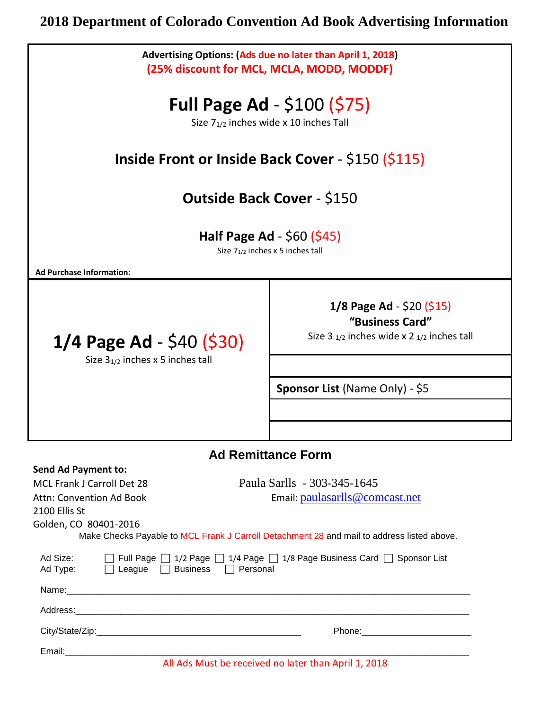# **2018 Department of Colorado Convention Ad Book Advertising Information**

| Advertising Options: (Ads due no later than April 1, 2018)<br>(25% discount for MCL, MCLA, MODD, MODDF)                                                                                                                                                                                              |                                                                                                        |  |
|------------------------------------------------------------------------------------------------------------------------------------------------------------------------------------------------------------------------------------------------------------------------------------------------------|--------------------------------------------------------------------------------------------------------|--|
| <b>Full Page Ad - <math>\$100 (\$75)</math></b><br>Size 7 <sub>1/2</sub> inches wide x 10 inches Tall                                                                                                                                                                                                |                                                                                                        |  |
| <b>Inside Front or Inside Back Cover - \$150 (\$115)</b>                                                                                                                                                                                                                                             |                                                                                                        |  |
| <b>Outside Back Cover - \$150</b>                                                                                                                                                                                                                                                                    |                                                                                                        |  |
| <b>Half Page Ad</b> - $$60$ ( $$45$ )<br>Size 7 <sub>1/2</sub> inches x 5 inches tall                                                                                                                                                                                                                |                                                                                                        |  |
| <b>Ad Purchase Information:</b>                                                                                                                                                                                                                                                                      |                                                                                                        |  |
| $1/4$ Page Ad - \$40 (\$30)<br>Size $3_{1/2}$ inches x 5 inches tall                                                                                                                                                                                                                                 | $1/8$ Page Ad - \$20 (\$15)<br>"Business Card"<br>Size 3 $_{1/2}$ inches wide x 2 $_{1/2}$ inches tall |  |
|                                                                                                                                                                                                                                                                                                      | <b>Sponsor List (Name Only) - \$5</b>                                                                  |  |
|                                                                                                                                                                                                                                                                                                      |                                                                                                        |  |
| <b>Ad Remittance Form</b>                                                                                                                                                                                                                                                                            |                                                                                                        |  |
| <b>Send Ad Payment to:</b><br>Paula Sarlls - 303-345-1645<br>MCL Frank J Carroll Det 28<br>Email: paulasarlls@comcast.net<br><b>Attn: Convention Ad Book</b><br>2100 Ellis St<br>Golden, CO 80401-2016<br>Make Checks Payable to MCL Frank J Carroll Detachment 28 and mail to address listed above. |                                                                                                        |  |
| Ad Size:<br>$\Box$ Full Page $\Box$ 1/2 Page $\Box$ 1/4 Page $\Box$ 1/8 Page Business Card $\Box$ Sponsor List<br>Ad Type: <b>Deague</b> Business Dersonal                                                                                                                                           |                                                                                                        |  |
|                                                                                                                                                                                                                                                                                                      |                                                                                                        |  |
|                                                                                                                                                                                                                                                                                                      |                                                                                                        |  |
|                                                                                                                                                                                                                                                                                                      |                                                                                                        |  |
| Email: No. 2014 19:30 Page 10:30 Page 10:30 Page 10:30 Page 10:30 Page 10:30 Page 10:30 Page 10:30 Page 10:30<br>All Ads Must be received no later than April 1, 2018                                                                                                                                |                                                                                                        |  |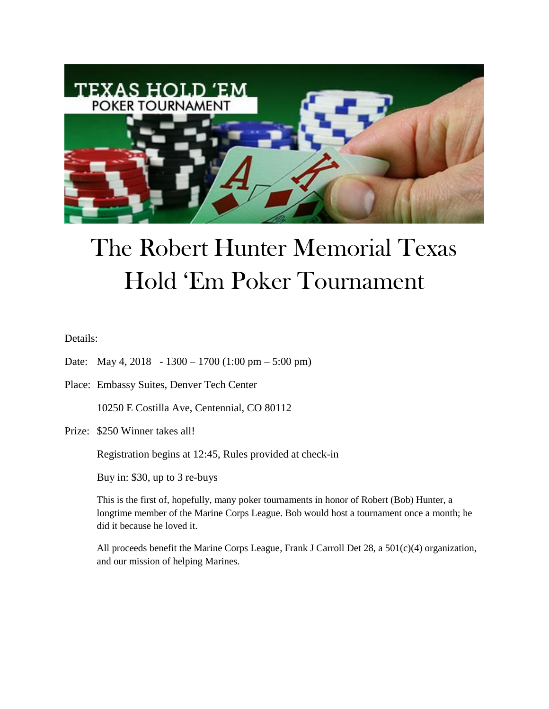

# The Robert Hunter Memorial Texas Hold 'Em Poker Tournament

Details:

- Date: May 4, 2018 1300 1700 (1:00 pm 5:00 pm)
- Place: Embassy Suites, Denver Tech Center

10250 E Costilla Ave, Centennial, CO 80112

Prize: \$250 Winner takes all!

Registration begins at 12:45, Rules provided at check-in

Buy in: \$30, up to 3 re-buys

This is the first of, hopefully, many poker tournaments in honor of Robert (Bob) Hunter, a longtime member of the Marine Corps League. Bob would host a tournament once a month; he did it because he loved it.

All proceeds benefit the Marine Corps League, Frank J Carroll Det 28, a 501(c)(4) organization, and our mission of helping Marines.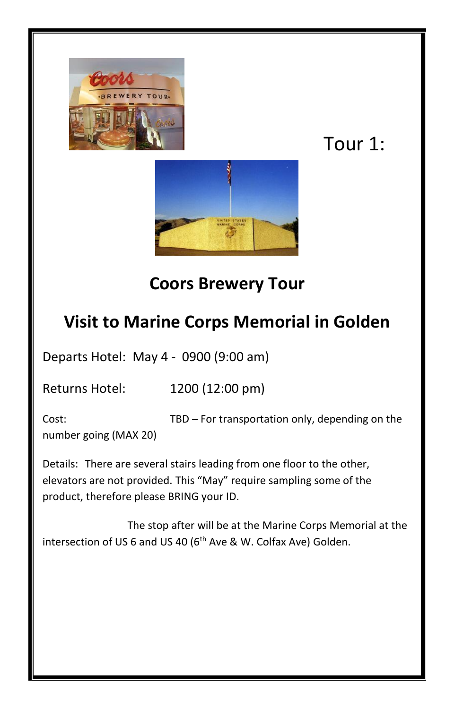

# Tour 1:



## **Coors Brewery Tour**

### **Visit to Marine Corps Memorial in Golden**

Departs Hotel: May 4 - 0900 (9:00 am)

Returns Hotel: 1200 (12:00 pm)

Cost: TBD – For transportation only, depending on the number going (MAX 20)

Details: There are several stairs leading from one floor to the other, elevators are not provided. This "May" require sampling some of the product, therefore please BRING your ID.

The stop after will be at the Marine Corps Memorial at the intersection of US 6 and US 40 (6<sup>th</sup> Ave & W. Colfax Ave) Golden.